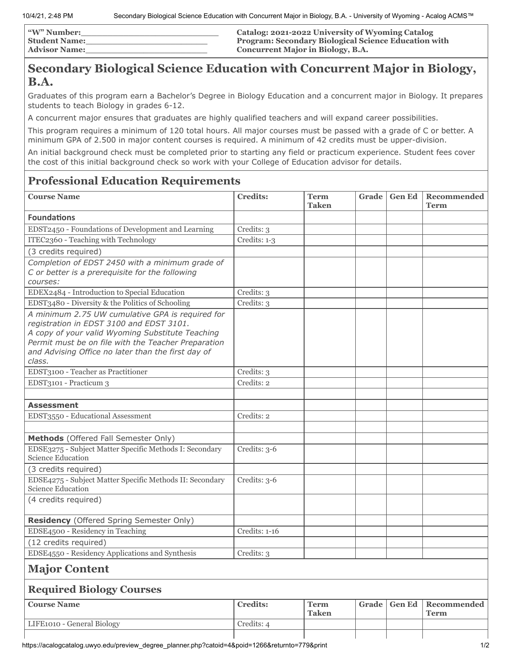| <b>W"</b> Number: | Catalog: 2021-2022 University of Wyoming Catalog            |
|-------------------|-------------------------------------------------------------|
| Student Name:     | <b>Program: Secondary Biological Science Education with</b> |
| Advisor Name:     | <b>Concurrent Major in Biology, B.A.</b>                    |

## **Secondary Biological Science Education with Concurrent Major in Biology, B.A.**

Graduates of this program earn a Bachelor's Degree in Biology Education and a concurrent major in Biology. It prepares students to teach Biology in grades 6-12.

A concurrent major ensures that graduates are highly qualified teachers and will expand career possibilities.

This program requires a minimum of 120 total hours. All major courses must be passed with a grade of C or better. A minimum GPA of 2.500 in major content courses is required. A minimum of 42 credits must be upper-division.

An initial background check must be completed prior to starting any field or practicum experience. Student fees cover the cost of this initial background check so work with your College of Education advisor for details.

# **Professional Education Requirements**

| <b>Course Name</b>                                                                                                                                                                                                                                                      | <b>Credits:</b> | <b>Term</b><br><b>Taken</b> | Grade | <b>Gen Ed</b> | Recommended<br>Term        |  |
|-------------------------------------------------------------------------------------------------------------------------------------------------------------------------------------------------------------------------------------------------------------------------|-----------------|-----------------------------|-------|---------------|----------------------------|--|
| <b>Foundations</b>                                                                                                                                                                                                                                                      |                 |                             |       |               |                            |  |
| EDST2450 - Foundations of Development and Learning                                                                                                                                                                                                                      | Credits: 3      |                             |       |               |                            |  |
| ITEC2360 - Teaching with Technology                                                                                                                                                                                                                                     | Credits: 1-3    |                             |       |               |                            |  |
| (3 credits required)                                                                                                                                                                                                                                                    |                 |                             |       |               |                            |  |
| Completion of EDST 2450 with a minimum grade of<br>C or better is a prerequisite for the following<br>courses:                                                                                                                                                          |                 |                             |       |               |                            |  |
| EDEX2484 - Introduction to Special Education                                                                                                                                                                                                                            | Credits: 3      |                             |       |               |                            |  |
| EDST3480 - Diversity & the Politics of Schooling                                                                                                                                                                                                                        | Credits: 3      |                             |       |               |                            |  |
| A minimum 2.75 UW cumulative GPA is required for<br>registration in EDST 3100 and EDST 3101.<br>A copy of your valid Wyoming Substitute Teaching<br>Permit must be on file with the Teacher Preparation<br>and Advising Office no later than the first day of<br>class. |                 |                             |       |               |                            |  |
| EDST3100 - Teacher as Practitioner                                                                                                                                                                                                                                      | Credits: 3      |                             |       |               |                            |  |
| EDST3101 - Practicum 3                                                                                                                                                                                                                                                  | Credits: 2      |                             |       |               |                            |  |
|                                                                                                                                                                                                                                                                         |                 |                             |       |               |                            |  |
| <b>Assessment</b>                                                                                                                                                                                                                                                       |                 |                             |       |               |                            |  |
| EDST3550 - Educational Assessment                                                                                                                                                                                                                                       | Credits: 2      |                             |       |               |                            |  |
|                                                                                                                                                                                                                                                                         |                 |                             |       |               |                            |  |
| Methods (Offered Fall Semester Only)                                                                                                                                                                                                                                    |                 |                             |       |               |                            |  |
| EDSE3275 - Subject Matter Specific Methods I: Secondary<br>Science Education                                                                                                                                                                                            | Credits: 3-6    |                             |       |               |                            |  |
| (3 credits required)                                                                                                                                                                                                                                                    |                 |                             |       |               |                            |  |
| EDSE4275 - Subject Matter Specific Methods II: Secondary<br><b>Science Education</b>                                                                                                                                                                                    | Credits: 3-6    |                             |       |               |                            |  |
| (4 credits required)                                                                                                                                                                                                                                                    |                 |                             |       |               |                            |  |
| <b>Residency</b> (Offered Spring Semester Only)                                                                                                                                                                                                                         |                 |                             |       |               |                            |  |
| EDSE4500 - Residency in Teaching                                                                                                                                                                                                                                        | Credits: 1-16   |                             |       |               |                            |  |
| (12 credits required)                                                                                                                                                                                                                                                   |                 |                             |       |               |                            |  |
| EDSE4550 - Residency Applications and Synthesis                                                                                                                                                                                                                         | Credits: 3      |                             |       |               |                            |  |
| <b>Major Content</b>                                                                                                                                                                                                                                                    |                 |                             |       |               |                            |  |
| <b>Required Biology Courses</b>                                                                                                                                                                                                                                         |                 |                             |       |               |                            |  |
| <b>Course Name</b>                                                                                                                                                                                                                                                      | <b>Credits:</b> | <b>Term</b><br><b>Taken</b> | Grade | <b>Gen Ed</b> | <b>Recommended</b><br>Term |  |
| LIFE1010 - General Biology                                                                                                                                                                                                                                              | Credits: 4      |                             |       |               |                            |  |
|                                                                                                                                                                                                                                                                         |                 |                             |       |               |                            |  |